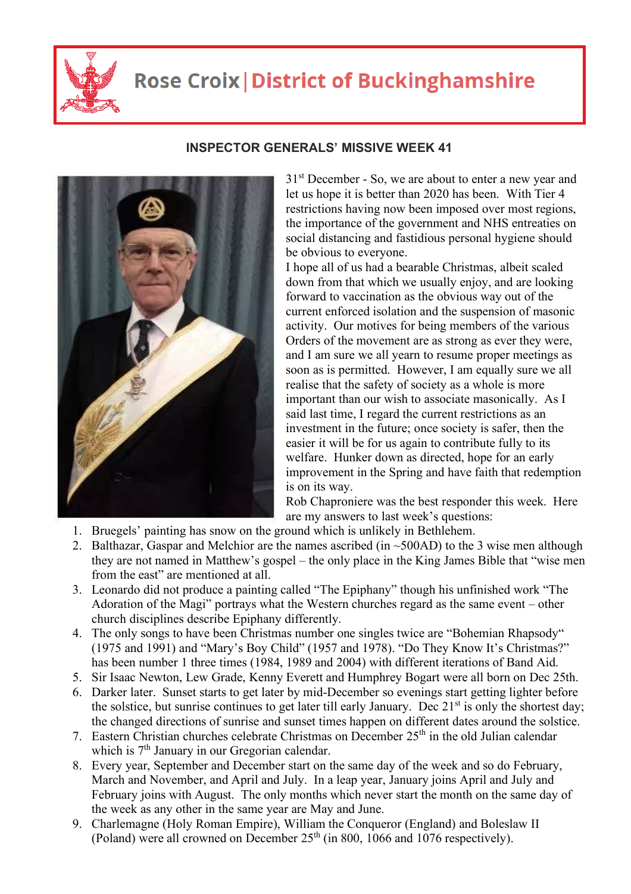

## **Rose Croix | District of Buckinghamshire**



## **INSPECTOR GENERALS' MISSIVE WEEK 41**

 $31<sup>st</sup>$  December - So, we are about to enter a new year and let us hope it is better than 2020 has been. With Tier 4 restrictions having now been imposed over most regions, the importance of the government and NHS entreaties on social distancing and fastidious personal hygiene should be obvious to everyone.

I hope all of us had a bearable Christmas, albeit scaled down from that which we usually enjoy, and are looking forward to vaccination as the obvious way out of the current enforced isolation and the suspension of masonic activity. Our motives for being members of the various Orders of the movement are as strong as ever they were, and I am sure we all yearn to resume proper meetings as soon as is permitted. However, I am equally sure we all realise that the safety of society as a whole is more important than our wish to associate masonically. As I said last time, I regard the current restrictions as an investment in the future; once society is safer, then the easier it will be for us again to contribute fully to its welfare. Hunker down as directed, hope for an early improvement in the Spring and have faith that redemption is on its way.

Rob Chaproniere was the best responder this week. Here are my answers to last week's questions:

- 1. Bruegels' painting has snow on the ground which is unlikely in Bethlehem.
- 2. Balthazar, Gaspar and Melchior are the names ascribed (in  $\sim$ 500AD) to the 3 wise men although they are not named in Matthew's gospel – the only place in the King James Bible that "wise men from the east" are mentioned at all.
- 3. Leonardo did not produce a painting called "The Epiphany" though his unfinished work "The Adoration of the Magi" portrays what the Western churches regard as the same event – other church disciplines describe Epiphany differently.
- 4. The only songs to have been Christmas number one singles twice are "Bohemian Rhapsody" (1975 and 1991) and "Mary's Boy Child" (1957 and 1978). "Do They Know It's Christmas?" has been number 1 three times (1984, 1989 and 2004) with different iterations of Band Aid.
- 5. Sir Isaac Newton, Lew Grade, Kenny Everett and Humphrey Bogart were all born on Dec 25th.
- 6. Darker later. Sunset starts to get later by mid-December so evenings start getting lighter before the solstice, but sunrise continues to get later till early January. Dec  $21<sup>st</sup>$  is only the shortest day; the changed directions of sunrise and sunset times happen on different dates around the solstice.
- 7. Eastern Christian churches celebrate Christmas on December 25<sup>th</sup> in the old Julian calendar which is 7<sup>th</sup> January in our Gregorian calendar.
- 8. Every year, September and December start on the same day of the week and so do February, March and November, and April and July. In a leap year, January joins April and July and February joins with August. The only months which never start the month on the same day of the week as any other in the same year are May and June.
- 9. Charlemagne (Holy Roman Empire), William the Conqueror (England) and Boleslaw II (Poland) were all crowned on December 25th (in 800, 1066 and 1076 respectively).